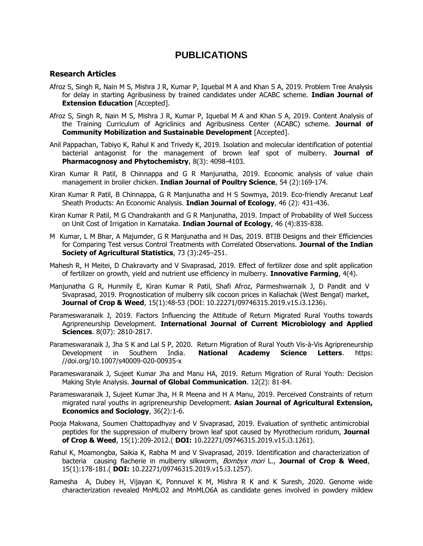# **PUBLICATIONS**

## **Research Articles**

- Afroz S, Singh R, Nain M S, Mishra J R, Kumar P, Iquebal M A and Khan S A, 2019. Problem Tree Analysis for delay in starting Agribusiness by trained candidates under ACABC scheme. **Indian Journal of Extension Education** [Accepted].
- Afroz S, Singh R, Nain M S, Mishra J R, Kumar P, Iquebal M A and Khan S A, 2019. Content Analysis of the Training Curriculum of Agriclinics and Agribusiness Center (ACABC) scheme. **Journal of Community Mobilization and Sustainable Development** [Accepted].
- Anil Pappachan, Tabiyo K, Rahul K and Trivedy K, 2019. Isolation and molecular identification of potential bacterial antagonist for the management of brown leaf spot of mulberry. **Journal of Pharmacognosy and Phytochemistry**, 8(3): 4098-4103.
- Kiran Kumar R Patil, B Chinnappa and G R Manjunatha, 2019. [Economic analysis of value chain](javascript:void(0))  [management in broiler chicken.](javascript:void(0)) **Indian Journal of Poultry Science**, 54 (2):169-174.
- Kiran Kumar R Patil, B Chinnappa, G R Manjunatha and H S Sowmya, 2019. Eco-friendly Arecanut Leaf Sheath Products: An Economic Analysis. **Indian Journal of Ecology**, 46 (2): 431-436.
- Kiran Kumar R Patil, M G Chandrakanth and G R Manjunatha, 2019. Impact of Probability of Well Success on Unit Cost of Irrigation in Karnataka. **Indian Journal of Ecology**, 46 (4):835-838.
- M Kumar, L M Bhar, A Majumder, G R Manjunatha and H Das, 2019. BTIB Designs and their Efficiencies for Comparing Test versus Control Treatments with Correlated Observations. **Journal of the Indian Society of Agricultural Statistics**, 73 (3):245–251.
- Mahesh R, H Meitei, D Chakravarty and V Sivaprasad, 2019. Effect of fertilizer dose and split application of fertilizer on growth, yield and nutrient use efficiency in mulberry. **Innovative Farming**, 4(4).
- Manjunatha G R, Hunmily E, Kiran Kumar R Patil, Shafi Afroz, Parmeshwarnaik J, D Pandit and V Sivaprasad, 2019. Prognostication of mulberry silk cocoon prices in Kaliachak (West Bengal) market, **Journal of Crop & Weed**, 15(1):48-53 (DOI: 10.22271/09746315.2019.v15.i3.1236).
- Parameswaranaik J, 2019. Factors Influencing the Attitude of Return Migrated Rural Youths towards Agripreneurship Development. **International Journal of Current Microbiology and Applied Sciences**. 8(07): 2810-2817.
- Parameswaranaik J, Jha S K and Lal S P, 2020. Return Migration of Rural Youth Vis-à-Vis Agripreneurship Development in Southern India. **National Academy Science Letters**. https: //doi.org/10.1007/s40009-020-00935-x
- Parameswaranaik J, Sujeet Kumar Jha and Manu HA, 2019. Return Migration of Rural Youth: Decision Making Style Analysis. **Journal of Global Communication**. 12(2): 81-84.
- Parameswaranaik J, Sujeet Kumar Jha, H R Meena and H A Manu, 2019. Perceived Constraints of return migrated rural youths in agripreneurship Development. **Asian Journal of Agricultural Extension, Economics and Sociology**, 36(2):1-6.
- Pooja Makwana, Soumen Chattopadhyay and V Sivaprasad, 2019. Evaluation of synthetic antimicrobial peptides for the suppression of mulberry brown leaf spot caused by Myrothecium roridum, **Journal of Crop & Weed**, 15(1):209-2012.( **DOI:** 10.22271/09746315.2019.v15.i3.1261).
- Rahul K, Moamongba, Saikia K, Rabha M and V Sivaprasad, 2019. Identification and characterization of bacteria causing flacherie in mulberry silkworm, Bombyx mori L., **Journal of Crop & Weed**, 15(1):178-181.( **DOI:** 10.22271/09746315.2019.v15.i3.1257).
- Ramesha A, Dubey H, Vijayan K, Ponnuvel K M, Mishra R K and K Suresh, 2020. Genome wide characterization revealed MnMLO2 and MnMLO6A as candidate genes involved in powdery mildew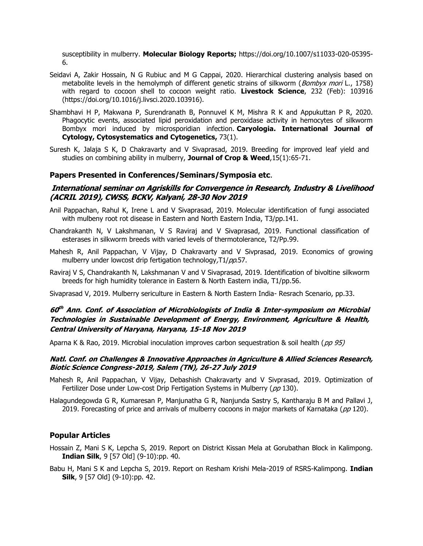susceptibility in mulberry. **Molecular Biology Reports;** https://doi.org/10.1007/s11033-020-05395- 6.

- Seidavi A, Zakir Hossain, N G Rubiuc and M G Cappai, 2020. Hierarchical clustering analysis based on metabolite levels in the hemolymph of different genetic strains of silkworm (*Bombyx mori* L., 1758) with regard to cocoon shell to cocoon weight ratio. **Livestock Science**, 232 (Feb): 103916 (https://doi.org/10.1016/j.livsci.2020.103916).
- Shambhavi H P, Makwana P, Surendranath B, Ponnuvel K M, Mishra R K and Appukuttan P R, 2020. Phagocytic events, associated lipid peroxidation and peroxidase activity in hemocytes of silkworm Bombyx mori induced by microsporidian infection. **Caryologia. International Journal of Cytology, Cytosystematics and Cytogenetics,** 73(1).
- Suresh K, Jalaja S K, D Chakravarty and V Sivaprasad, 2019. Breeding for improved leaf yield and studies on combining ability in mulberry, **Journal of Crop & Weed**,15(1):65-71.

#### **Papers Presented in Conferences/Seminars/Symposia etc**.

# **International seminar on Agriskills for Convergence in Research, Industry & Livelihood (ACRIL 2019), CWSS, BCKV, Kalyani, 28-30 Nov 2019**

- Anil Pappachan, Rahul K, Irene L and V Sivaprasad, 2019. Molecular identification of fungi associated with mulbeny root rot disease in Eastern and North Eastern India, T3/pp.141.
- Chandrakanth N, V Lakshmanan, V S Raviraj and V Sivaprasad, 2019. Functional classification of esterases in silkworm breeds with varied levels of thermotolerance, T2/Pp.99.
- Mahesh R, Anil Pappachan, V Vijay, D Chakravarty and V Sivprasad, 2019. Economics of growing mulberry under lowcost drip fertigation technology, T1/pp.57.
- Raviraj V S, Chandrakanth N, Lakshmanan V and V Sivaprasad, 2019. Identification of bivoltine silkworm breeds for high humidity tolerance in Eastern & North Eastern india, T1/pp.56.

Sivaprasad V, 2019. Mulberry sericulture in Eastern & North Eastern India- Resrach Scenario, pp.33.

# **60 th Ann. Conf. of Association of Microbiologists of India & Inter-symposium on Microbial Technologies in Sustainable Development of Energy, Environment, Agriculture & Health, Central University of Haryana, Haryana, 15-18 Nov 2019**

Aparna K & Rao, 2019. Microbial inoculation improves carbon sequestration & soil health ( $pp 95$ )

#### **Natl. Conf. on Challenges & Innovative Approaches in Agriculture & Allied Sciences Research, Biotic Science Congress-2019, Salem (TN), 26-27 July 2019**

- Mahesh R, Anil Pappachan, V Vijay, Debashish Chakravarty and V Sivprasad, 2019. Optimization of Fertilizer Dose under Low-cost Drip Fertigation Systems in Mulberry (pp 130).
- Halagundegowda G R, Kumaresan P, Manjunatha G R, Nanjunda Sastry S, Kantharaju B M and Pallavi J, 2019. Forecasting of price and arrivals of mulberry cocoons in major markets of Karnataka ( $pp$  120).

## **Popular Articles**

- Hossain Z, Mani S K, Lepcha S, 2019. Report on District Kissan Mela at Gorubathan Block in Kalimpong. **Indian Silk**, 9 [57 Old] (9-10):pp. 40.
- Babu H, Mani S K and Lepcha S, 2019. Report on Resham Krishi Mela-2019 of RSRS-Kalimpong. **Indian Silk**, 9 [57 Old] (9-10):pp. 42.